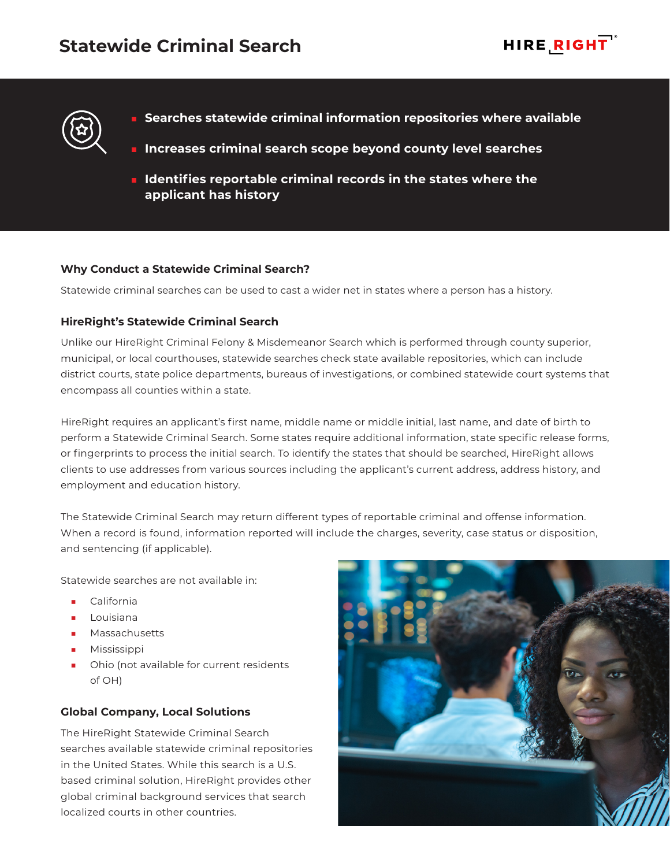

- **Searches statewide criminal information repositories where available**
- **Increases criminal search scope beyond county level searches**
- **IDENTIFIELD IDENTIFIELD IN THE IDENTIFIELD IS NOT THE INCREDIT LIGHT** IN **IDENTIFIELD IDENTIFIELD IDENTIFIELD IDENTIFIELD IDENTIFIELD IDENTIFIELD IDENTIFIELD IDENTIFIELD IDENTIFIELD IDENTIFIELD IDENTIF applicant has history**

### **Why Conduct a Statewide Criminal Search?**

Statewide criminal searches can be used to cast a wider net in states where a person has a history.

### **HireRight's Statewide Criminal Search**

Unlike our HireRight Criminal Felony & Misdemeanor Search which is performed through county superior, municipal, or local courthouses, statewide searches check state available repositories, which can include district courts, state police departments, bureaus of investigations, or combined statewide court systems that encompass all counties within a state.

HireRight requires an applicant's first name, middle name or middle initial, last name, and date of birth to perform a Statewide Criminal Search. Some states require additional information, state specific release forms, or fingerprints to process the initial search. To identify the states that should be searched, HireRight allows clients to use addresses from various sources including the applicant's current address, address history, and employment and education history.

The Statewide Criminal Search may return different types of reportable criminal and offense information. When a record is found, information reported will include the charges, severity, case status or disposition, and sentencing (if applicable).

Statewide searches are not available in:

- **California**
- Louisiana
- Massachusetts
- **Mississippi**
- Ohio (not available for current residents of OH)

# **Global Company, Local Solutions**

The HireRight Statewide Criminal Search searches available statewide criminal repositories in the United States. While this search is a U.S. based criminal solution, HireRight provides other global criminal background services that search localized courts in other countries.